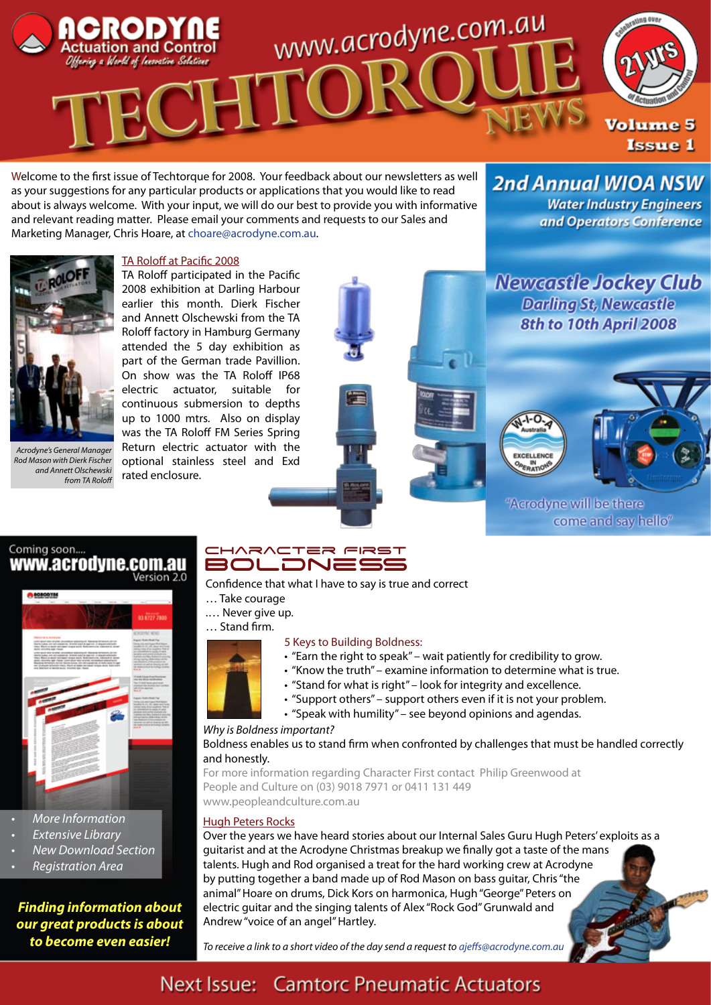

Welcome to the first issue of Techtorque for 2008. Your feedback about our newsletters as well as your suggestions for any particular products or applications that you would like to read about is always welcome. With your input, we will do our best to provide you with informative and relevant reading matter. Please email your comments and requests to our Sales and Marketing Manager, Chris Hoare, at choare@acrodyne.com.au.

**Water Industry Engineers** and Operators Conference

**2nd Annual WIOA NSW** 



*Acrodyne's General Manager Rod Mason with Dierk Fischer and Annett Olschewski from TA Roloff*

#### TA Roloff at Pacific 2008

TA Roloff participated in the Pacific 2008 exhibition at Darling Harbour earlier this month. Dierk Fischer and Annett Olschewski from the TA Roloff factory in Hamburg Germany attended the 5 day exhibition as part of the German trade Pavillion. On show was the TA Roloff IP68 electric actuator, suitable for continuous submersion to depths up to 1000 mtrs. Also on display was the TA Roloff FM Series Spring Return electric actuator with the optional stainless steel and Exd rated enclosure.

**Newcastle Jockey Club Darling St, Newcastle** 8th to 10th April 2008

**PERATK** "Acrodyne will be there come and say hello"

#### Coming soon.... www.acrodyne.com.au Version 2.0



- • *More Information*
- **Extensive Library**
- **New Download Section**
- • *Registration Area*

*Finding information about our great products is about to become even easier!*

#### CHARACTER FIRST Boldness

Confidence that what I have to say is true and correct

- … Take courage
- .… Never give up.

… Stand firm.

#### 5 Keys to Building Boldness:

- "Earn the right to speak" wait patiently for credibility to grow.
- "Know the truth" examine information to determine what is true.
- "Stand for what is right" look for integrity and excellence.
- "Support others" support others even if it is not your problem.
- "Speak with humility" see beyond opinions and agendas.

#### *Why is Boldness important?*

Boldness enables us to stand firm when confronted by challenges that must be handled correctly and honestly.

For more information regarding Character First contact Philip Greenwood at People and Culture on (03) 9018 7971 or 0411 131 449 www.peopleandculture.com.au

#### Hugh Peters Rocks

Over the years we have heard stories about our Internal Sales Guru Hugh Peters' exploits as a guitarist and at the Acrodyne Christmas breakup we finally got a taste of the mans talents. Hugh and Rod organised a treat for the hard working crew at Acrodyne by putting together a band made up of Rod Mason on bass guitar, Chris "the animal" Hoare on drums, Dick Kors on harmonica, Hugh "George" Peters on electric guitar and the singing talents of Alex "Rock God" Grunwald and Andrew "voice of an angel" Hartley.

*To receive a link to a short video of the day send a request to ajeffs@acrodyne.com.au*

## Next Issue: Camtorc Pneumatic Actuators